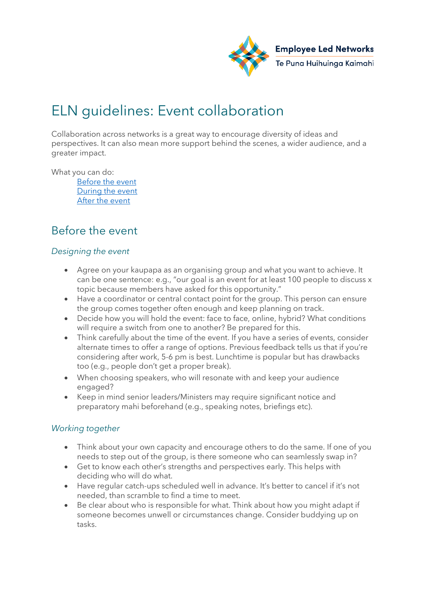

# ELN guidelines: Event collaboration

Collaboration across networks is a great way to encourage diversity of ideas and perspectives. It can also mean more support behind the scenes, a wider audience, and a greater impact.

What you can do:

[Before the event](#page-0-0) [During the event](#page-1-0) [After the event](#page-1-1)

## <span id="page-0-0"></span>Before the event

#### *Designing the event*

- Agree on your kaupapa as an organising group and what you want to achieve. It can be one sentence: e.g., "our goal is an event for at least 100 people to discuss x topic because members have asked for this opportunity."
- Have a coordinator or central contact point for the group. This person can ensure the group comes together often enough and keep planning on track.
- Decide how you will hold the event: face to face, online, hybrid? What conditions will require a switch from one to another? Be prepared for this.
- Think carefully about the time of the event. If you have a series of events, consider alternate times to offer a range of options. Previous feedback tells us that if you're considering after work, 5-6 pm is best. Lunchtime is popular but has drawbacks too (e.g., people don't get a proper break).
- When choosing speakers, who will resonate with and keep your audience engaged?
- Keep in mind senior leaders/Ministers may require significant notice and preparatory mahi beforehand (e.g., speaking notes, briefings etc).

#### *Working together*

- Think about your own capacity and encourage others to do the same. If one of you needs to step out of the group, is there someone who can seamlessly swap in?
- Get to know each other's strengths and perspectives early. This helps with deciding who will do what.
- Have regular catch-ups scheduled well in advance. It's better to cancel if it's not needed, than scramble to find a time to meet.
- Be clear about who is responsible for what. Think about how you might adapt if someone becomes unwell or circumstances change. Consider buddying up on tasks.